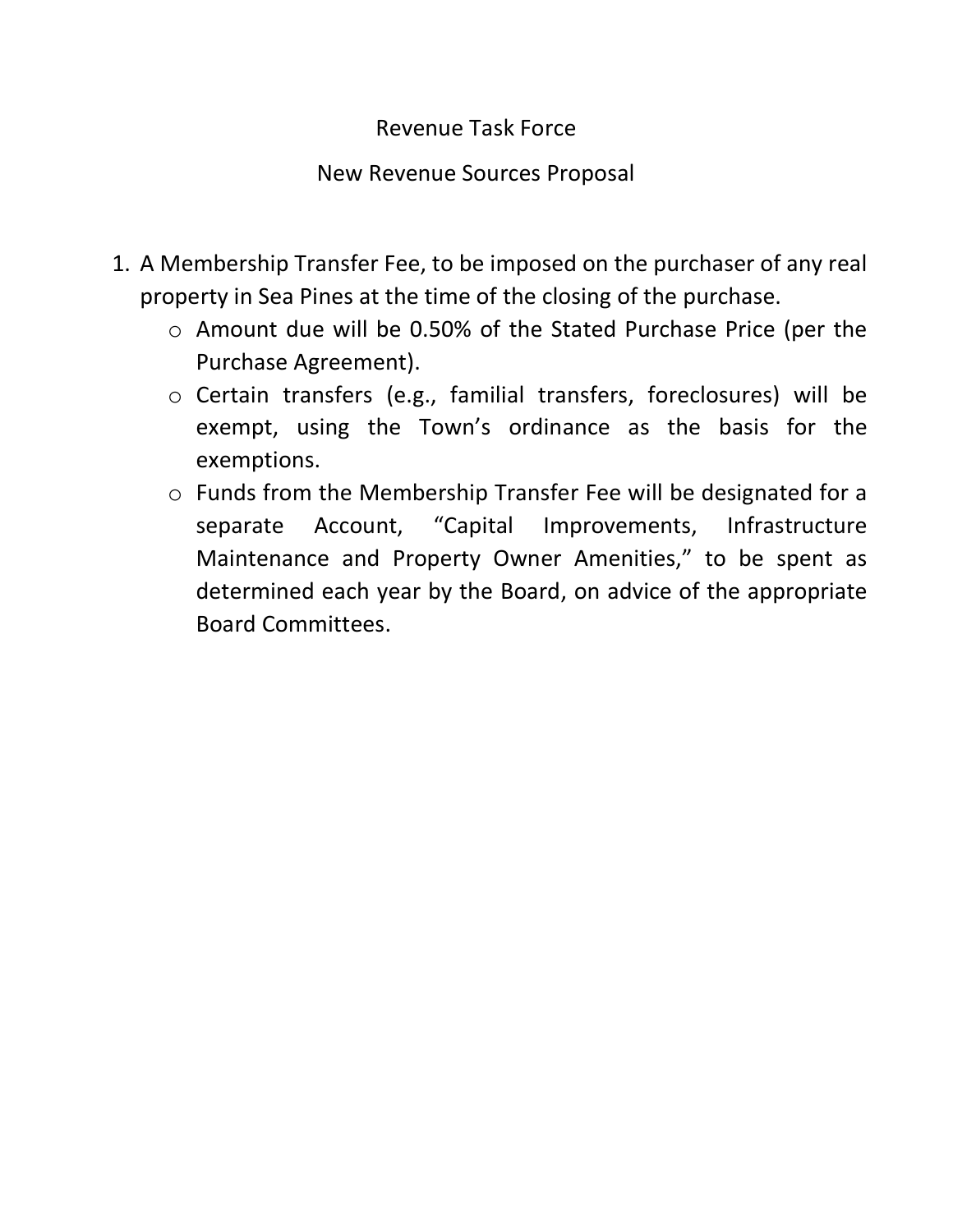## Revenue Task Force

## New Revenue Sources Proposal

- 1. A Membership Transfer Fee, to be imposed on the purchaser of any real property in Sea Pines at the time of the closing of the purchase.
	- o Amount due will be 0.50% of the Stated Purchase Price (per the Purchase Agreement).
	- o Certain transfers (e.g., familial transfers, foreclosures) will be exempt, using the Town's ordinance as the basis for the exemptions.
	- o Funds from the Membership Transfer Fee will be designated for a separate Account, "Capital Improvements, Infrastructure Maintenance and Property Owner Amenities," to be spent as determined each year by the Board, on advice of the appropriate Board Committees.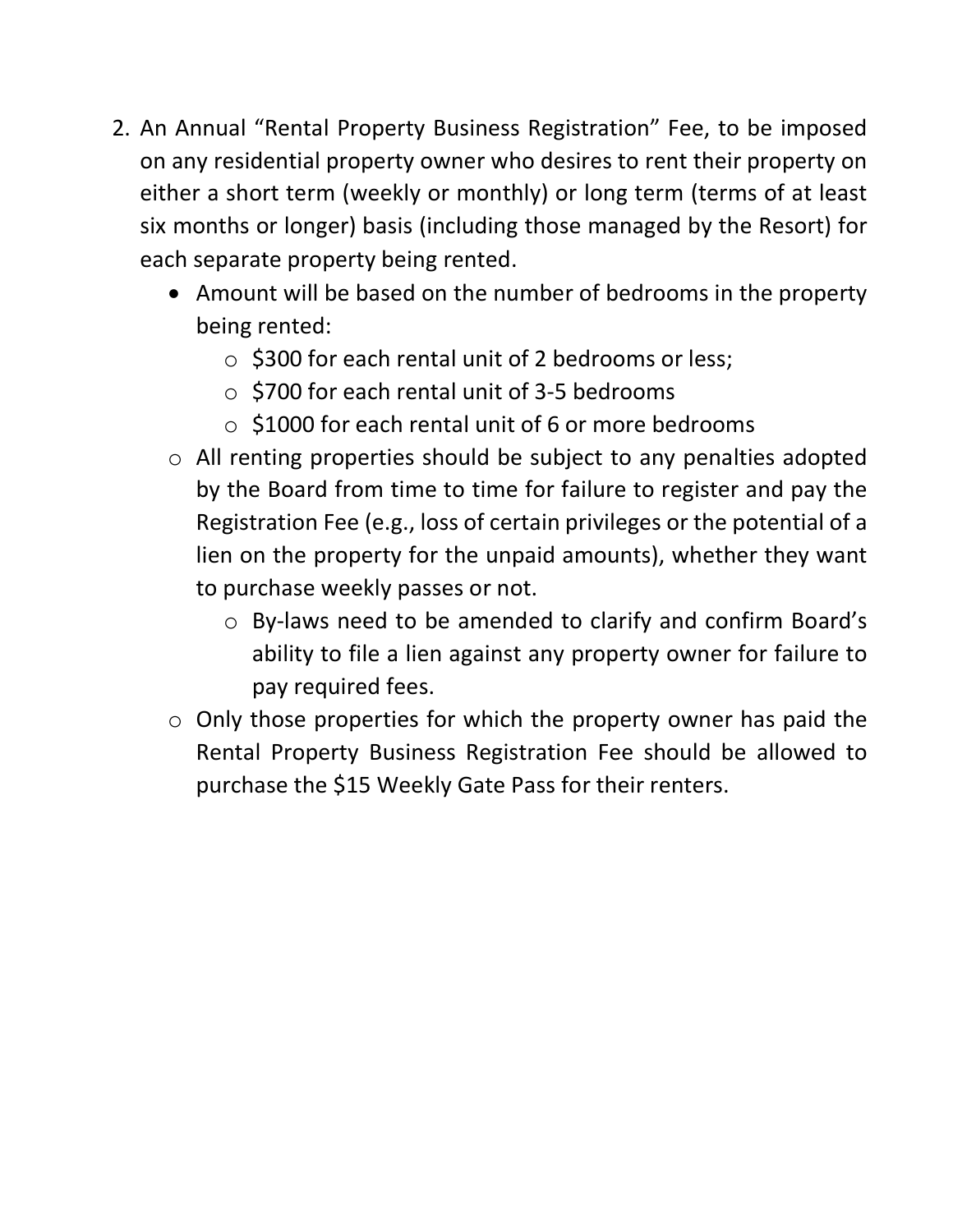- 2. An Annual "Rental Property Business Registration" Fee, to be imposed on any residential property owner who desires to rent their property on either a short term (weekly or monthly) or long term (terms of at least six months or longer) basis (including those managed by the Resort) for each separate property being rented.
	- Amount will be based on the number of bedrooms in the property being rented:
		- $\circ$  \$300 for each rental unit of 2 bedrooms or less;
		- o \$700 for each rental unit of 3-5 bedrooms
		- o \$1000 for each rental unit of 6 or more bedrooms
	- o All renting properties should be subject to any penalties adopted by the Board from time to time for failure to register and pay the Registration Fee (e.g., loss of certain privileges or the potential of a lien on the property for the unpaid amounts), whether they want to purchase weekly passes or not.
		- o By-laws need to be amended to clarify and confirm Board's ability to file a lien against any property owner for failure to pay required fees.
	- $\circ$  Only those properties for which the property owner has paid the Rental Property Business Registration Fee should be allowed to purchase the \$15 Weekly Gate Pass for their renters.